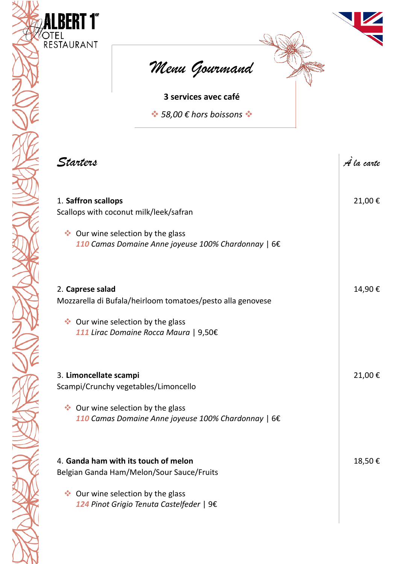



**3 services avec café**

❖ *58,00 € hors boissons* ❖

| Starters                                                                                                                                                     | A la carte |
|--------------------------------------------------------------------------------------------------------------------------------------------------------------|------------|
| 1. Saffron scallops<br>Scallops with coconut milk/leek/safran                                                                                                | 21,00€     |
| ◆ Our wine selection by the glass<br>110 Camas Domaine Anne joyeuse 100% Chardonnay   6€                                                                     |            |
| 2. Caprese salad<br>Mozzarella di Bufala/heirloom tomatoes/pesto alla genovese<br>◆ Our wine selection by the glass<br>111 Lirac Domaine Rocca Maura   9,50€ | 14,90€     |
| 3. Limoncellate scampi<br>Scampi/Crunchy vegetables/Limoncello                                                                                               | 21,00€     |
| ◆ Our wine selection by the glass<br>110 Camas Domaine Anne joyeuse 100% Chardonnay   6€                                                                     |            |
| 4. Ganda ham with its touch of melon<br>Belgian Ganda Ham/Melon/Sour Sauce/Fruits                                                                            | 18,50€     |
| Our wine selection by the glass<br>豪<br>124 Pinot Grigio Tenuta Castelfeder   9€                                                                             |            |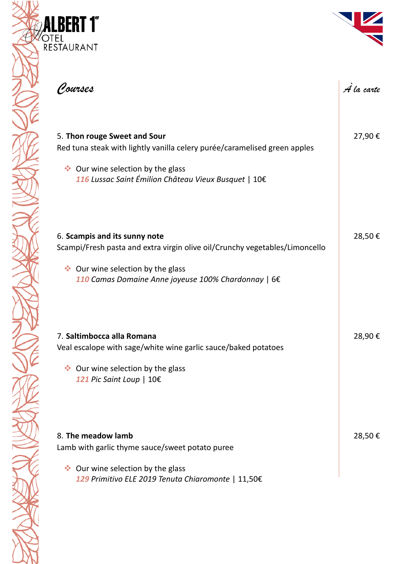

| ( <u>J</u> ourses                                                                                                                                                                                        | A la carte |
|----------------------------------------------------------------------------------------------------------------------------------------------------------------------------------------------------------|------------|
| 5. Thon rouge Sweet and Sour<br>Red tuna steak with lightly vanilla celery purée/caramelised green apples<br>◆ Our wine selection by the glass<br>116 Lussac Saint Émilion Château Vieux Busquet   10€   | 27,90€     |
| 6. Scampis and its sunny note<br>Scampi/Fresh pasta and extra virgin olive oil/Crunchy vegetables/Limoncello<br>◆ Our wine selection by the glass<br>110 Camas Domaine Anne joyeuse 100% Chardonnay   6€ | 28,50€     |
| 7. Saltimbocca alla Romana<br>Veal escalope with sage/white wine garlic sauce/baked potatoes<br>◆ Our wine selection by the glass<br>121 Pic Saint Loup   10€                                            | 28,90€     |
| 8. The meadow lamb<br>Lamb with garlic thyme sauce/sweet potato puree<br>◆ Our wine selection by the glass<br>129 Primitivo ELE 2019 Tenuta Chiaromonte   11,50€                                         | 28,50€     |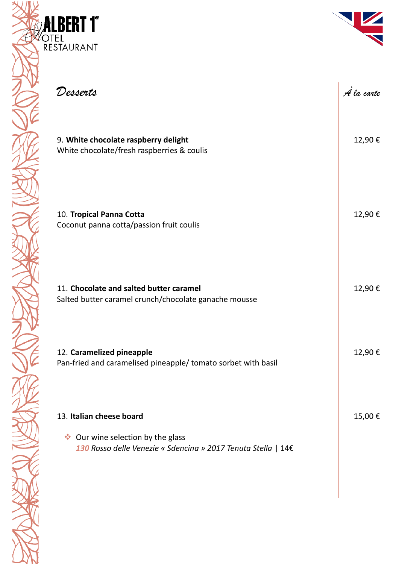